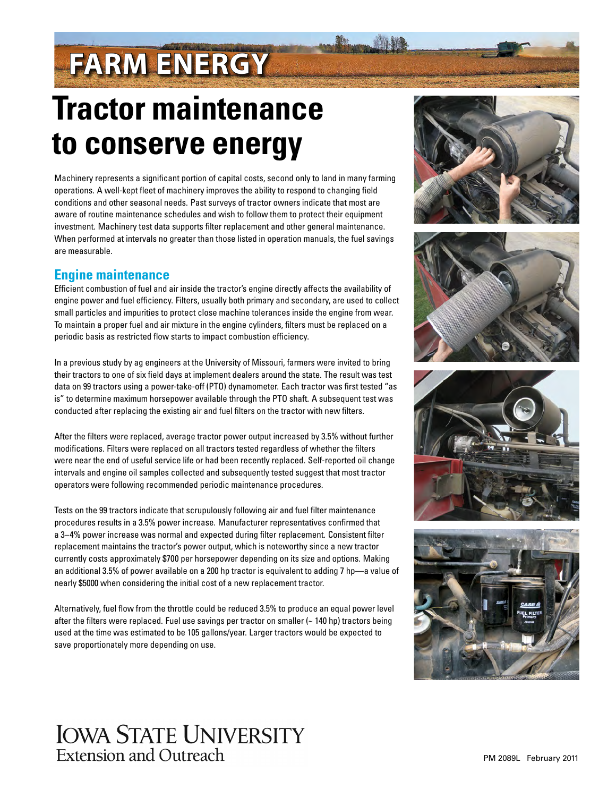# **FARM ENERGY**

## **Tractor maintenance to conserve energy**

Machinery represents a significant portion of capital costs, second only to land in many farming operations. A well-kept fleet of machinery improves the ability to respond to changing field conditions and other seasonal needs. Past surveys of tractor owners indicate that most are aware of routine maintenance schedules and wish to follow them to protect their equipment investment. Machinery test data supports filter replacement and other general maintenance. When performed at intervals no greater than those listed in operation manuals, the fuel savings are measurable.

## **Engine maintenance**

Efficient combustion of fuel and air inside the tractor's engine directly affects the availability of engine power and fuel efficiency. Filters, usually both primary and secondary, are used to collect small particles and impurities to protect close machine tolerances inside the engine from wear. To maintain a proper fuel and air mixture in the engine cylinders, filters must be replaced on a periodic basis as restricted flow starts to impact combustion efficiency.

In a previous study by ag engineers at the University of Missouri, farmers were invited to bring their tractors to one of six field days at implement dealers around the state. The result was test data on 99 tractors using a power-take-off (PTO) dynamometer. Each tractor was first tested "as is" to determine maximum horsepower available through the PTO shaft. A subsequent test was conducted after replacing the existing air and fuel filters on the tractor with new filters.

After the filters were replaced, average tractor power output increased by 3.5% without further modifications. Filters were replaced on all tractors tested regardless of whether the filters were near the end of useful service life or had been recently replaced. Self-reported oil change intervals and engine oil samples collected and subsequently tested suggest that most tractor operators were following recommended periodic maintenance procedures.

Tests on the 99 tractors indicate that scrupulously following air and fuel filter maintenance procedures results in a 3.5% power increase. Manufacturer representatives confirmed that a 3–4% power increase was normal and expected during filter replacement. Consistent filter replacement maintains the tractor's power output, which is noteworthy since a new tractor currently costs approximately \$700 per horsepower depending on its size and options. Making an additional 3.5% of power available on a 200 hp tractor is equivalent to adding 7 hp—a value of nearly \$5000 when considering the initial cost of a new replacement tractor.

Alternatively, fuel flow from the throttle could be reduced 3.5% to produce an equal power level after the filters were replaced. Fuel use savings per tractor on smaller (~ 140 hp) tractors being used at the time was estimated to be 105 gallons/year. Larger tractors would be expected to save proportionately more depending on use.

## **IOWA STATE UNIVERSITY Extension and Outreach**